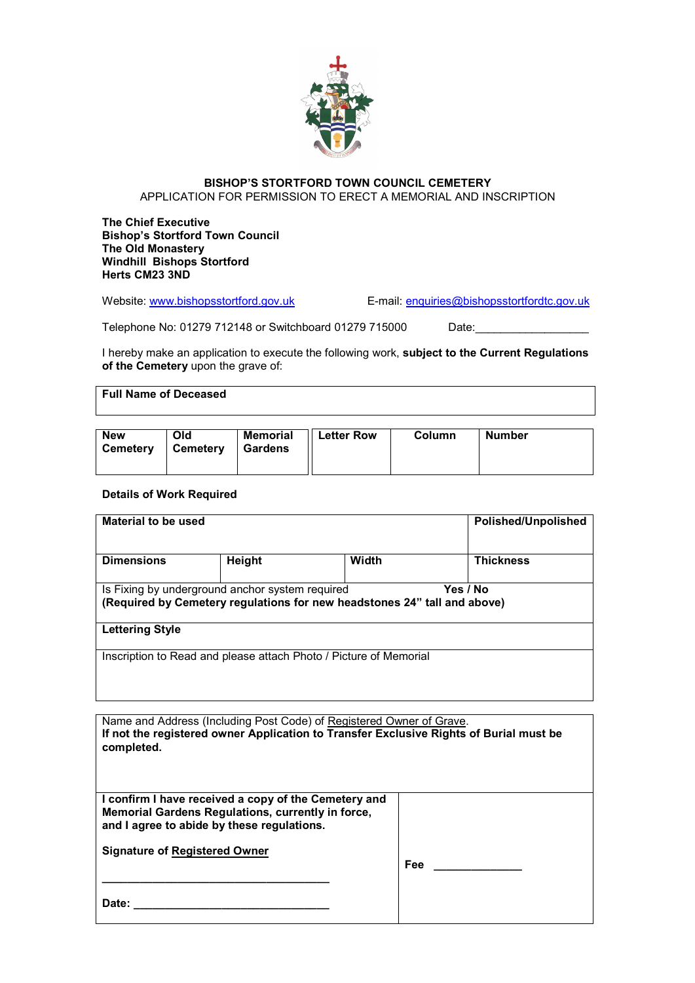

## **BISHOP'S STORTFORD TOWN COUNCIL CEMETERY**  APPLICATION FOR PERMISSION TO ERECT A MEMORIAL AND INSCRIPTION

**The Chief Executive Bishop's Stortford Town Council The Old Monastery Windhill Bishops Stortford Herts CM23 3ND** 

Website: www.bishopsstortford.gov.uk E-mail: enquiries@bishopsstortfordtc.gov.uk

Telephone No: 01279 712148 or Switchboard 01279 715000 Date:

I hereby make an application to execute the following work, **subject to the Current Regulations of the Cemetery** upon the grave of:

## **Full Name of Deceased**

| <b>New</b><br>∣ Cemetery | Old<br>∣ Cemetery | <b>Memorial</b><br>Gardens | $  $ Letter Row | Column | <b>Number</b> |  |
|--------------------------|-------------------|----------------------------|-----------------|--------|---------------|--|
|                          |                   |                            |                 |        |               |  |

## **Details of Work Required**

| Material to be used                                                      |          |       | <b>Polished/Unpolished</b> |  |
|--------------------------------------------------------------------------|----------|-------|----------------------------|--|
| <b>Dimensions</b>                                                        | Height   | Width | <b>Thickness</b>           |  |
|                                                                          |          |       |                            |  |
| Is Fixing by underground anchor system required                          | Yes / No |       |                            |  |
| (Required by Cemetery regulations for new headstones 24" tall and above) |          |       |                            |  |
| <b>Lettering Style</b>                                                   |          |       |                            |  |
|                                                                          |          |       |                            |  |
| Inscription to Read and please attach Photo / Picture of Memorial        |          |       |                            |  |
|                                                                          |          |       |                            |  |

| Name and Address (Including Post Code) of Registered Owner of Grave.<br>If not the registered owner Application to Transfer Exclusive Rights of Burial must be<br>completed. |            |  |  |
|------------------------------------------------------------------------------------------------------------------------------------------------------------------------------|------------|--|--|
| I confirm I have received a copy of the Cemetery and<br>Memorial Gardens Regulations, currently in force,<br>and I agree to abide by these regulations.                      |            |  |  |
| <b>Signature of Registered Owner</b>                                                                                                                                         | <b>Fee</b> |  |  |
| Date:                                                                                                                                                                        |            |  |  |